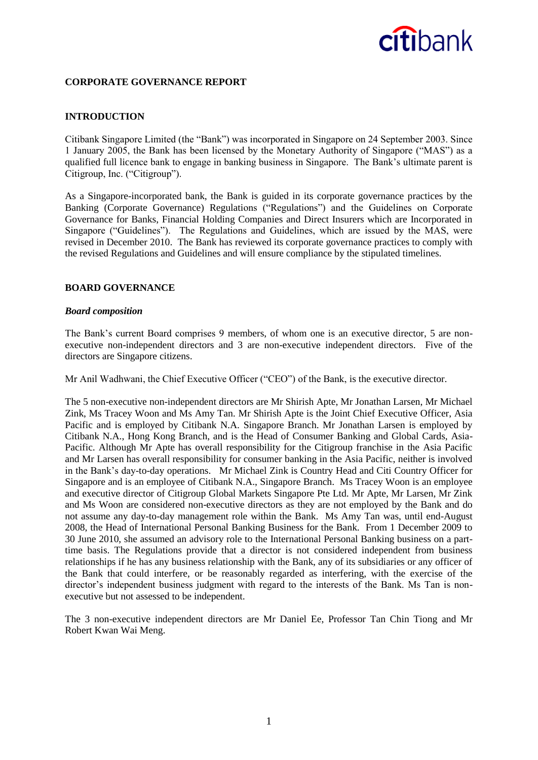### **CORPORATE GOVERNANCE REPORT**

### **INTRODUCTION**

Citibank Singapore Limited (the "Bank") was incorporated in Singapore on 24 September 2003. Since 1 January 2005, the Bank has been licensed by the Monetary Authority of Singapore ("MAS") as a qualified full licence bank to engage in banking business in Singapore. The Bank's ultimate parent is Citigroup, Inc. ("Citigroup").

As a Singapore-incorporated bank, the Bank is guided in its corporate governance practices by the Banking (Corporate Governance) Regulations ("Regulations") and the Guidelines on Corporate Governance for Banks, Financial Holding Companies and Direct Insurers which are Incorporated in Singapore ("Guidelines"). The Regulations and Guidelines, which are issued by the MAS, were revised in December 2010. The Bank has reviewed its corporate governance practices to comply with the revised Regulations and Guidelines and will ensure compliance by the stipulated timelines.

#### **BOARD GOVERNANCE**

#### *Board composition*

The Bank's current Board comprises 9 members, of whom one is an executive director, 5 are nonexecutive non-independent directors and 3 are non-executive independent directors. Five of the directors are Singapore citizens.

Mr Anil Wadhwani, the Chief Executive Officer ("CEO") of the Bank, is the executive director.

The 5 non-executive non-independent directors are Mr Shirish Apte, Mr Jonathan Larsen, Mr Michael Zink, Ms Tracey Woon and Ms Amy Tan. Mr Shirish Apte is the Joint Chief Executive Officer, Asia Pacific and is employed by Citibank N.A. Singapore Branch. Mr Jonathan Larsen is employed by Citibank N.A., Hong Kong Branch, and is the Head of Consumer Banking and Global Cards, Asia-Pacific. Although Mr Apte has overall responsibility for the Citigroup franchise in the Asia Pacific and Mr Larsen has overall responsibility for consumer banking in the Asia Pacific, neither is involved in the Bank's day-to-day operations. Mr Michael Zink is Country Head and Citi Country Officer for Singapore and is an employee of Citibank N.A., Singapore Branch. Ms Tracey Woon is an employee and executive director of Citigroup Global Markets Singapore Pte Ltd. Mr Apte, Mr Larsen, Mr Zink and Ms Woon are considered non-executive directors as they are not employed by the Bank and do not assume any day-to-day management role within the Bank. Ms Amy Tan was, until end-August 2008, the Head of International Personal Banking Business for the Bank. From 1 December 2009 to 30 June 2010, she assumed an advisory role to the International Personal Banking business on a parttime basis. The Regulations provide that a director is not considered independent from business relationships if he has any business relationship with the Bank, any of its subsidiaries or any officer of the Bank that could interfere, or be reasonably regarded as interfering, with the exercise of the director's independent business judgment with regard to the interests of the Bank. Ms Tan is nonexecutive but not assessed to be independent.

The 3 non-executive independent directors are Mr Daniel Ee, Professor Tan Chin Tiong and Mr Robert Kwan Wai Meng.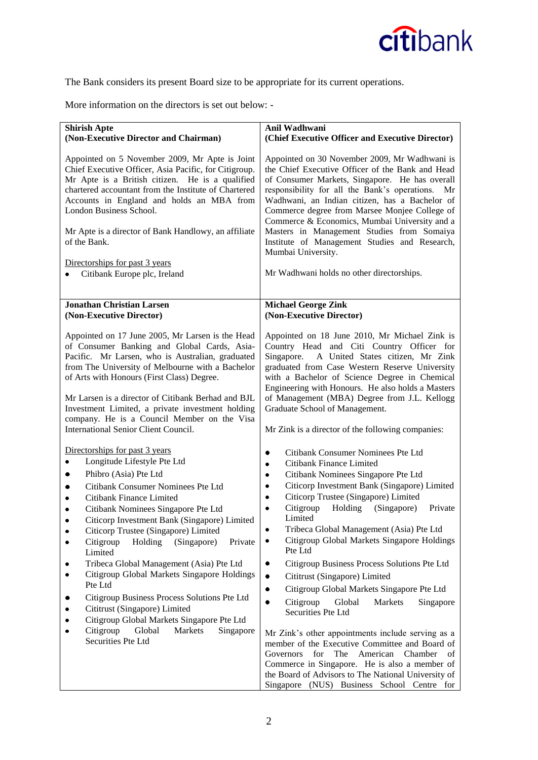The Bank considers its present Board size to be appropriate for its current operations.

More information on the directors is set out below: -

| <b>Shirish Apte</b><br>(Non-Executive Director and Chairman)                                                                                                                                                                                                                                                                                                                                                                                           | Anil Wadhwani<br>(Chief Executive Officer and Executive Director)                                                                                                                                                                                                                                                                                                                                                                                                                                                             |
|--------------------------------------------------------------------------------------------------------------------------------------------------------------------------------------------------------------------------------------------------------------------------------------------------------------------------------------------------------------------------------------------------------------------------------------------------------|-------------------------------------------------------------------------------------------------------------------------------------------------------------------------------------------------------------------------------------------------------------------------------------------------------------------------------------------------------------------------------------------------------------------------------------------------------------------------------------------------------------------------------|
| Appointed on 5 November 2009, Mr Apte is Joint<br>Chief Executive Officer, Asia Pacific, for Citigroup.<br>Mr Apte is a British citizen. He is a qualified<br>chartered accountant from the Institute of Chartered<br>Accounts in England and holds an MBA from<br>London Business School.<br>Mr Apte is a director of Bank Handlowy, an affiliate<br>of the Bank.<br>Directorships for past 3 years<br>Citibank Europe plc, Ireland<br>٠              | Appointed on 30 November 2009, Mr Wadhwani is<br>the Chief Executive Officer of the Bank and Head<br>of Consumer Markets, Singapore. He has overall<br>responsibility for all the Bank's operations. Mr<br>Wadhwani, an Indian citizen, has a Bachelor of<br>Commerce degree from Marsee Monjee College of<br>Commerce & Economics, Mumbai University and a<br>Masters in Management Studies from Somaiya<br>Institute of Management Studies and Research,<br>Mumbai University.<br>Mr Wadhwani holds no other directorships. |
|                                                                                                                                                                                                                                                                                                                                                                                                                                                        |                                                                                                                                                                                                                                                                                                                                                                                                                                                                                                                               |
| <b>Jonathan Christian Larsen</b>                                                                                                                                                                                                                                                                                                                                                                                                                       | <b>Michael George Zink</b>                                                                                                                                                                                                                                                                                                                                                                                                                                                                                                    |
| (Non-Executive Director)                                                                                                                                                                                                                                                                                                                                                                                                                               | (Non-Executive Director)                                                                                                                                                                                                                                                                                                                                                                                                                                                                                                      |
|                                                                                                                                                                                                                                                                                                                                                                                                                                                        |                                                                                                                                                                                                                                                                                                                                                                                                                                                                                                                               |
| Appointed on 17 June 2005, Mr Larsen is the Head<br>of Consumer Banking and Global Cards, Asia-<br>Pacific. Mr Larsen, who is Australian, graduated<br>from The University of Melbourne with a Bachelor<br>of Arts with Honours (First Class) Degree.<br>Mr Larsen is a director of Citibank Berhad and BJL<br>Investment Limited, a private investment holding<br>company. He is a Council Member on the Visa<br>International Senior Client Council. | Appointed on 18 June 2010, Mr Michael Zink is<br>Country Head and Citi Country Officer for<br>A United States citizen, Mr Zink<br>Singapore.<br>graduated from Case Western Reserve University<br>with a Bachelor of Science Degree in Chemical<br>Engineering with Honours. He also holds a Masters<br>of Management (MBA) Degree from J.L. Kellogg<br>Graduate School of Management.<br>Mr Zink is a director of the following companies:                                                                                   |
|                                                                                                                                                                                                                                                                                                                                                                                                                                                        |                                                                                                                                                                                                                                                                                                                                                                                                                                                                                                                               |
| Directorships for past 3 years                                                                                                                                                                                                                                                                                                                                                                                                                         | Citibank Consumer Nominees Pte Ltd<br>٠                                                                                                                                                                                                                                                                                                                                                                                                                                                                                       |
| Longitude Lifestyle Pte Ltd<br>٠                                                                                                                                                                                                                                                                                                                                                                                                                       | Citibank Finance Limited<br>٠                                                                                                                                                                                                                                                                                                                                                                                                                                                                                                 |
| Phibro (Asia) Pte Ltd<br>٠                                                                                                                                                                                                                                                                                                                                                                                                                             | Citibank Nominees Singapore Pte Ltd<br>٠                                                                                                                                                                                                                                                                                                                                                                                                                                                                                      |
| Citibank Consumer Nominees Pte Ltd<br>٠                                                                                                                                                                                                                                                                                                                                                                                                                | Citicorp Investment Bank (Singapore) Limited<br>٠                                                                                                                                                                                                                                                                                                                                                                                                                                                                             |
| Citibank Finance Limited<br>$\bullet$                                                                                                                                                                                                                                                                                                                                                                                                                  | Citicorp Trustee (Singapore) Limited<br>٠                                                                                                                                                                                                                                                                                                                                                                                                                                                                                     |
| Citibank Nominees Singapore Pte Ltd<br>$\bullet$                                                                                                                                                                                                                                                                                                                                                                                                       | Citigroup<br>Holding (Singapore)<br>Private<br>$\bullet$<br>Limited                                                                                                                                                                                                                                                                                                                                                                                                                                                           |
| Citicorp Investment Bank (Singapore) Limited<br>٠<br>Citicorp Trustee (Singapore) Limited                                                                                                                                                                                                                                                                                                                                                              | Tribeca Global Management (Asia) Pte Ltd<br>٠                                                                                                                                                                                                                                                                                                                                                                                                                                                                                 |
| Citigroup<br>Holding<br>(Singapore)<br>Private                                                                                                                                                                                                                                                                                                                                                                                                         | Citigroup Global Markets Singapore Holdings<br>٠                                                                                                                                                                                                                                                                                                                                                                                                                                                                              |
| Limited                                                                                                                                                                                                                                                                                                                                                                                                                                                | Pte Ltd                                                                                                                                                                                                                                                                                                                                                                                                                                                                                                                       |
| Tribeca Global Management (Asia) Pte Ltd                                                                                                                                                                                                                                                                                                                                                                                                               | Citigroup Business Process Solutions Pte Ltd<br>$\bullet$                                                                                                                                                                                                                                                                                                                                                                                                                                                                     |
| Citigroup Global Markets Singapore Holdings                                                                                                                                                                                                                                                                                                                                                                                                            | Cititrust (Singapore) Limited<br>٠                                                                                                                                                                                                                                                                                                                                                                                                                                                                                            |
| Pte Ltd                                                                                                                                                                                                                                                                                                                                                                                                                                                | Citigroup Global Markets Singapore Pte Ltd<br>٠                                                                                                                                                                                                                                                                                                                                                                                                                                                                               |
| Citigroup Business Process Solutions Pte Ltd                                                                                                                                                                                                                                                                                                                                                                                                           | Citigroup<br>Global<br>Markets<br>Singapore                                                                                                                                                                                                                                                                                                                                                                                                                                                                                   |
| Cititrust (Singapore) Limited                                                                                                                                                                                                                                                                                                                                                                                                                          | Securities Pte Ltd                                                                                                                                                                                                                                                                                                                                                                                                                                                                                                            |
| Citigroup Global Markets Singapore Pte Ltd                                                                                                                                                                                                                                                                                                                                                                                                             |                                                                                                                                                                                                                                                                                                                                                                                                                                                                                                                               |
| Citigroup<br>Global<br>Markets<br>Singapore<br>Securities Pte Ltd                                                                                                                                                                                                                                                                                                                                                                                      | Mr Zink's other appointments include serving as a<br>member of the Executive Committee and Board of<br>The<br>for<br>American<br>Chamber<br>Governors<br>οf<br>Commerce in Singapore. He is also a member of<br>the Board of Advisors to The National University of<br>Singapore (NUS) Business School Centre for                                                                                                                                                                                                             |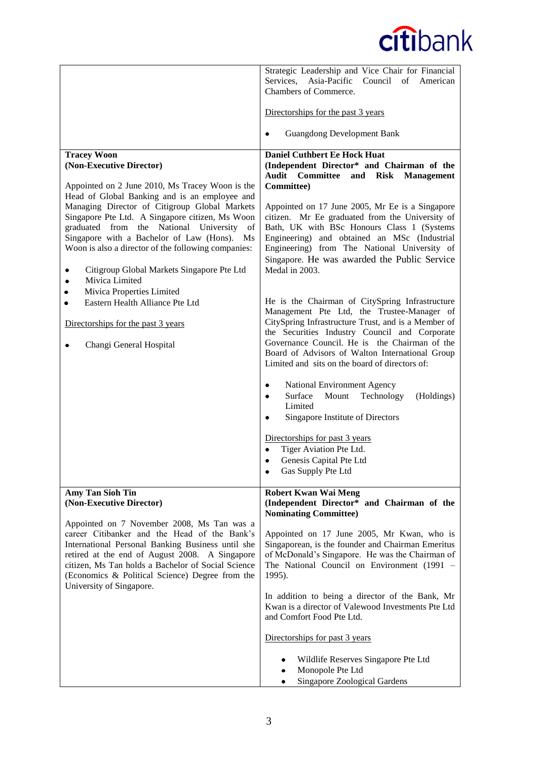|                                                                                                                                                                                                                                                                                                                                                                                         | Strategic Leadership and Vice Chair for Financial<br>Services,<br>Asia-Pacific Council of American<br>Chambers of Commerce.                                                                                                                                                                                                                                 |
|-----------------------------------------------------------------------------------------------------------------------------------------------------------------------------------------------------------------------------------------------------------------------------------------------------------------------------------------------------------------------------------------|-------------------------------------------------------------------------------------------------------------------------------------------------------------------------------------------------------------------------------------------------------------------------------------------------------------------------------------------------------------|
|                                                                                                                                                                                                                                                                                                                                                                                         | Directorships for the past 3 years                                                                                                                                                                                                                                                                                                                          |
|                                                                                                                                                                                                                                                                                                                                                                                         | <b>Guangdong Development Bank</b>                                                                                                                                                                                                                                                                                                                           |
| <b>Tracey Woon</b><br>(Non-Executive Director)<br>Appointed on 2 June 2010, Ms Tracey Woon is the                                                                                                                                                                                                                                                                                       | <b>Daniel Cuthbert Ee Hock Huat</b><br>(Independent Director* and Chairman of the<br><b>Audit Committee</b><br>and Risk Management<br>Committee)                                                                                                                                                                                                            |
| Head of Global Banking and is an employee and<br>Managing Director of Citigroup Global Markets<br>Singapore Pte Ltd. A Singapore citizen, Ms Woon<br>graduated from the National University<br>of<br>Singapore with a Bachelor of Law (Hons).<br>$\overline{Ms}$<br>Woon is also a director of the following companies:<br>Citigroup Global Markets Singapore Pte Ltd<br>Mivica Limited | Appointed on 17 June 2005, Mr Ee is a Singapore<br>citizen. Mr Ee graduated from the University of<br>Bath, UK with BSc Honours Class 1 (Systems<br>Engineering) and obtained an MSc (Industrial<br>Engineering) from The National University of<br>Singapore. He was awarded the Public Service<br>Medal in 2003.                                          |
| Mivica Properties Limited<br>Eastern Health Alliance Pte Ltd<br>٠<br>Directorships for the past 3 years<br>Changi General Hospital                                                                                                                                                                                                                                                      | He is the Chairman of CitySpring Infrastructure<br>Management Pte Ltd, the Trustee-Manager of<br>CitySpring Infrastructure Trust, and is a Member of<br>the Securities Industry Council and Corporate<br>Governance Council. He is the Chairman of the<br>Board of Advisors of Walton International Group<br>Limited and sits on the board of directors of: |
|                                                                                                                                                                                                                                                                                                                                                                                         | National Environment Agency<br>Surface<br>Mount<br>Technology<br>(Holdings)<br>$\bullet$<br>Limited<br>Singapore Institute of Directors<br>$\bullet$                                                                                                                                                                                                        |
|                                                                                                                                                                                                                                                                                                                                                                                         | Directorships for past 3 years<br>Tiger Aviation Pte Ltd.<br>$\bullet$<br>Genesis Capital Pte Ltd<br>$\bullet$<br>Gas Supply Pte Ltd<br>$\bullet$                                                                                                                                                                                                           |
| <b>Amy Tan Sioh Tin</b><br>(Non-Executive Director)                                                                                                                                                                                                                                                                                                                                     | <b>Robert Kwan Wai Meng</b><br>(Independent Director* and Chairman of the<br><b>Nominating Committee)</b>                                                                                                                                                                                                                                                   |
| Appointed on 7 November 2008, Ms Tan was a<br>career Citibanker and the Head of the Bank's<br>International Personal Banking Business until she<br>retired at the end of August 2008. A Singapore<br>citizen, Ms Tan holds a Bachelor of Social Science<br>(Economics & Political Science) Degree from the                                                                              | Appointed on 17 June 2005, Mr Kwan, who is<br>Singaporean, is the founder and Chairman Emeritus<br>of McDonald's Singapore. He was the Chairman of<br>The National Council on Environment (1991 -<br>1995).                                                                                                                                                 |
| University of Singapore.                                                                                                                                                                                                                                                                                                                                                                | In addition to being a director of the Bank, Mr<br>Kwan is a director of Valewood Investments Pte Ltd<br>and Comfort Food Pte Ltd.                                                                                                                                                                                                                          |
|                                                                                                                                                                                                                                                                                                                                                                                         | Directorships for past 3 years                                                                                                                                                                                                                                                                                                                              |
|                                                                                                                                                                                                                                                                                                                                                                                         | Wildlife Reserves Singapore Pte Ltd<br>Monopole Pte Ltd<br>Singapore Zoological Gardens<br>٠                                                                                                                                                                                                                                                                |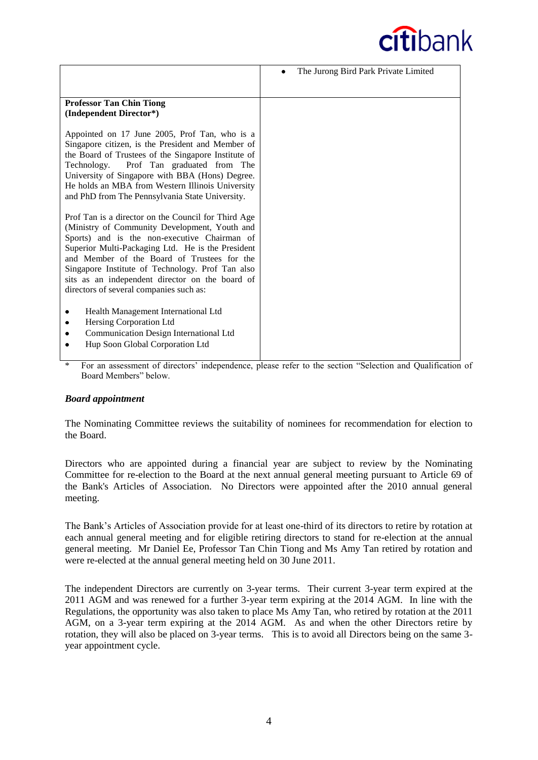

|                                                                                                                                                                                                                                                                                                                                                                                                            | The Jurong Bird Park Private Limited |
|------------------------------------------------------------------------------------------------------------------------------------------------------------------------------------------------------------------------------------------------------------------------------------------------------------------------------------------------------------------------------------------------------------|--------------------------------------|
| <b>Professor Tan Chin Tiong</b><br>(Independent Director*)                                                                                                                                                                                                                                                                                                                                                 |                                      |
| Appointed on 17 June 2005, Prof Tan, who is a<br>Singapore citizen, is the President and Member of<br>the Board of Trustees of the Singapore Institute of<br>Technology. Prof Tan graduated from The<br>University of Singapore with BBA (Hons) Degree.<br>He holds an MBA from Western Illinois University<br>and PhD from The Pennsylvania State University.                                             |                                      |
| Prof Tan is a director on the Council for Third Age<br>(Ministry of Community Development, Youth and<br>Sports) and is the non-executive Chairman of<br>Superior Multi-Packaging Ltd. He is the President<br>and Member of the Board of Trustees for the<br>Singapore Institute of Technology. Prof Tan also<br>sits as an independent director on the board of<br>directors of several companies such as: |                                      |
| Health Management International Ltd<br>Hersing Corporation Ltd<br>Communication Design International Ltd<br>Hup Soon Global Corporation Ltd                                                                                                                                                                                                                                                                |                                      |

\* For an assessment of directors' independence, please refer to the section "Selection and Qualification of Board Members" below.

#### *Board appointment*

The Nominating Committee reviews the suitability of nominees for recommendation for election to the Board.

Directors who are appointed during a financial year are subject to review by the Nominating Committee for re-election to the Board at the next annual general meeting pursuant to Article 69 of the Bank's Articles of Association. No Directors were appointed after the 2010 annual general meeting.

The Bank's Articles of Association provide for at least one-third of its directors to retire by rotation at each annual general meeting and for eligible retiring directors to stand for re-election at the annual general meeting. Mr Daniel Ee, Professor Tan Chin Tiong and Ms Amy Tan retired by rotation and were re-elected at the annual general meeting held on 30 June 2011.

The independent Directors are currently on 3-year terms. Their current 3-year term expired at the 2011 AGM and was renewed for a further 3-year term expiring at the 2014 AGM. In line with the Regulations, the opportunity was also taken to place Ms Amy Tan, who retired by rotation at the 2011 AGM, on a 3-year term expiring at the 2014 AGM. As and when the other Directors retire by rotation, they will also be placed on 3-year terms. This is to avoid all Directors being on the same 3 year appointment cycle.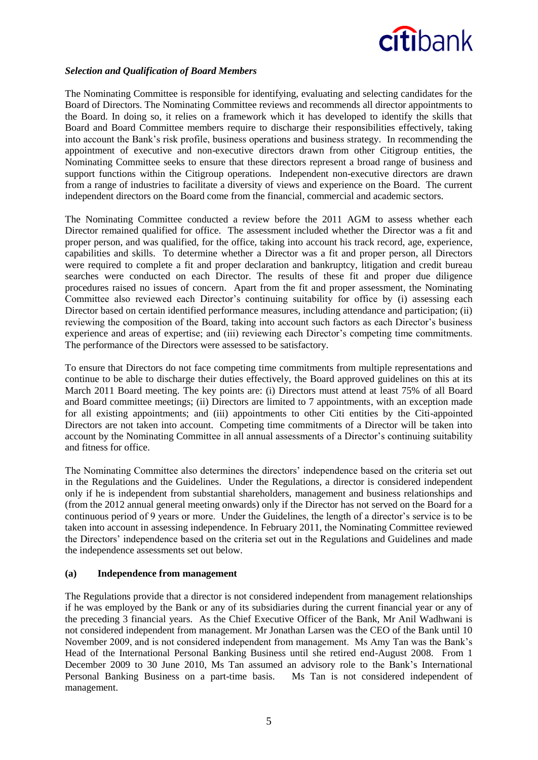# *Selection and Qualification of Board Members*

The Nominating Committee is responsible for identifying, evaluating and selecting candidates for the Board of Directors. The Nominating Committee reviews and recommends all director appointments to the Board. In doing so, it relies on a framework which it has developed to identify the skills that Board and Board Committee members require to discharge their responsibilities effectively, taking into account the Bank's risk profile, business operations and business strategy. In recommending the appointment of executive and non-executive directors drawn from other Citigroup entities, the Nominating Committee seeks to ensure that these directors represent a broad range of business and support functions within the Citigroup operations. Independent non-executive directors are drawn from a range of industries to facilitate a diversity of views and experience on the Board. The current independent directors on the Board come from the financial, commercial and academic sectors.

The Nominating Committee conducted a review before the 2011 AGM to assess whether each Director remained qualified for office. The assessment included whether the Director was a fit and proper person, and was qualified, for the office, taking into account his track record, age, experience, capabilities and skills. To determine whether a Director was a fit and proper person, all Directors were required to complete a fit and proper declaration and bankruptcy, litigation and credit bureau searches were conducted on each Director. The results of these fit and proper due diligence procedures raised no issues of concern. Apart from the fit and proper assessment, the Nominating Committee also reviewed each Director's continuing suitability for office by (i) assessing each Director based on certain identified performance measures, including attendance and participation; (ii) reviewing the composition of the Board, taking into account such factors as each Director's business experience and areas of expertise; and (iii) reviewing each Director's competing time commitments. The performance of the Directors were assessed to be satisfactory.

To ensure that Directors do not face competing time commitments from multiple representations and continue to be able to discharge their duties effectively, the Board approved guidelines on this at its March 2011 Board meeting. The key points are: (i) Directors must attend at least 75% of all Board and Board committee meetings; (ii) Directors are limited to 7 appointments, with an exception made for all existing appointments; and (iii) appointments to other Citi entities by the Citi-appointed Directors are not taken into account. Competing time commitments of a Director will be taken into account by the Nominating Committee in all annual assessments of a Director's continuing suitability and fitness for office.

The Nominating Committee also determines the directors' independence based on the criteria set out in the Regulations and the Guidelines. Under the Regulations, a director is considered independent only if he is independent from substantial shareholders, management and business relationships and (from the 2012 annual general meeting onwards) only if the Director has not served on the Board for a continuous period of 9 years or more. Under the Guidelines, the length of a director's service is to be taken into account in assessing independence. In February 2011, the Nominating Committee reviewed the Directors' independence based on the criteria set out in the Regulations and Guidelines and made the independence assessments set out below.

#### **(a) Independence from management**

The Regulations provide that a director is not considered independent from management relationships if he was employed by the Bank or any of its subsidiaries during the current financial year or any of the preceding 3 financial years. As the Chief Executive Officer of the Bank, Mr Anil Wadhwani is not considered independent from management. Mr Jonathan Larsen was the CEO of the Bank until 10 November 2009, and is not considered independent from management. Ms Amy Tan was the Bank's Head of the International Personal Banking Business until she retired end-August 2008. From 1 December 2009 to 30 June 2010, Ms Tan assumed an advisory role to the Bank's International Personal Banking Business on a part-time basis. Ms Tan is not considered independent of management.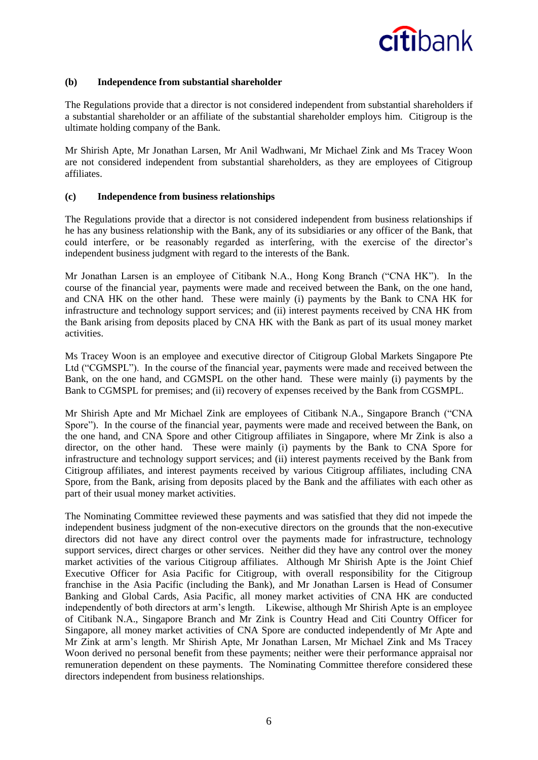

#### **(b) Independence from substantial shareholder**

The Regulations provide that a director is not considered independent from substantial shareholders if a substantial shareholder or an affiliate of the substantial shareholder employs him. Citigroup is the ultimate holding company of the Bank.

Mr Shirish Apte, Mr Jonathan Larsen, Mr Anil Wadhwani, Mr Michael Zink and Ms Tracey Woon are not considered independent from substantial shareholders, as they are employees of Citigroup affiliates.

#### **(c) Independence from business relationships**

The Regulations provide that a director is not considered independent from business relationships if he has any business relationship with the Bank, any of its subsidiaries or any officer of the Bank, that could interfere, or be reasonably regarded as interfering, with the exercise of the director's independent business judgment with regard to the interests of the Bank.

Mr Jonathan Larsen is an employee of Citibank N.A., Hong Kong Branch ("CNA HK"). In the course of the financial year, payments were made and received between the Bank, on the one hand, and CNA HK on the other hand. These were mainly (i) payments by the Bank to CNA HK for infrastructure and technology support services; and (ii) interest payments received by CNA HK from the Bank arising from deposits placed by CNA HK with the Bank as part of its usual money market activities.

Ms Tracey Woon is an employee and executive director of Citigroup Global Markets Singapore Pte Ltd ("CGMSPL"). In the course of the financial year, payments were made and received between the Bank, on the one hand, and CGMSPL on the other hand. These were mainly (i) payments by the Bank to CGMSPL for premises; and (ii) recovery of expenses received by the Bank from CGSMPL.

Mr Shirish Apte and Mr Michael Zink are employees of Citibank N.A., Singapore Branch ("CNA Spore"). In the course of the financial year, payments were made and received between the Bank, on the one hand, and CNA Spore and other Citigroup affiliates in Singapore, where Mr Zink is also a director, on the other hand. These were mainly (i) payments by the Bank to CNA Spore for infrastructure and technology support services; and (ii) interest payments received by the Bank from Citigroup affiliates, and interest payments received by various Citigroup affiliates, including CNA Spore, from the Bank, arising from deposits placed by the Bank and the affiliates with each other as part of their usual money market activities.

The Nominating Committee reviewed these payments and was satisfied that they did not impede the independent business judgment of the non-executive directors on the grounds that the non-executive directors did not have any direct control over the payments made for infrastructure, technology support services, direct charges or other services. Neither did they have any control over the money market activities of the various Citigroup affiliates. Although Mr Shirish Apte is the Joint Chief Executive Officer for Asia Pacific for Citigroup, with overall responsibility for the Citigroup franchise in the Asia Pacific (including the Bank), and Mr Jonathan Larsen is Head of Consumer Banking and Global Cards, Asia Pacific, all money market activities of CNA HK are conducted independently of both directors at arm's length. Likewise, although Mr Shirish Apte is an employee of Citibank N.A., Singapore Branch and Mr Zink is Country Head and Citi Country Officer for Singapore, all money market activities of CNA Spore are conducted independently of Mr Apte and Mr Zink at arm's length. Mr Shirish Apte, Mr Jonathan Larsen, Mr Michael Zink and Ms Tracey Woon derived no personal benefit from these payments; neither were their performance appraisal nor remuneration dependent on these payments. The Nominating Committee therefore considered these directors independent from business relationships.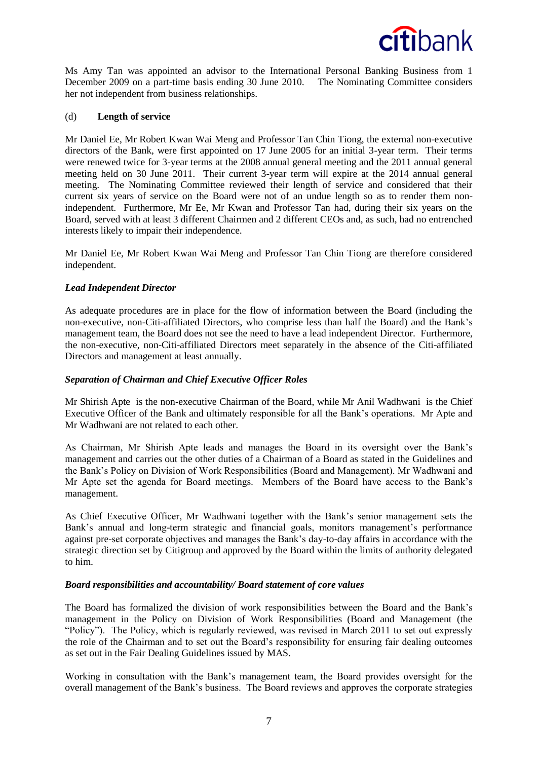

Ms Amy Tan was appointed an advisor to the International Personal Banking Business from 1 December 2009 on a part-time basis ending 30 June 2010. The Nominating Committee considers her not independent from business relationships.

#### (d) **Length of service**

Mr Daniel Ee, Mr Robert Kwan Wai Meng and Professor Tan Chin Tiong, the external non-executive directors of the Bank, were first appointed on 17 June 2005 for an initial 3-year term. Their terms were renewed twice for 3-year terms at the 2008 annual general meeting and the 2011 annual general meeting held on 30 June 2011. Their current 3-year term will expire at the 2014 annual general meeting. The Nominating Committee reviewed their length of service and considered that their current six years of service on the Board were not of an undue length so as to render them nonindependent. Furthermore, Mr Ee, Mr Kwan and Professor Tan had, during their six years on the Board, served with at least 3 different Chairmen and 2 different CEOs and, as such, had no entrenched interests likely to impair their independence.

Mr Daniel Ee, Mr Robert Kwan Wai Meng and Professor Tan Chin Tiong are therefore considered independent.

# *Lead Independent Director*

As adequate procedures are in place for the flow of information between the Board (including the non-executive, non-Citi-affiliated Directors, who comprise less than half the Board) and the Bank's management team, the Board does not see the need to have a lead independent Director. Furthermore, the non-executive, non-Citi-affiliated Directors meet separately in the absence of the Citi-affiliated Directors and management at least annually.

### *Separation of Chairman and Chief Executive Officer Roles*

Mr Shirish Apte is the non-executive Chairman of the Board, while Mr Anil Wadhwani is the Chief Executive Officer of the Bank and ultimately responsible for all the Bank's operations. Mr Apte and Mr Wadhwani are not related to each other.

As Chairman, Mr Shirish Apte leads and manages the Board in its oversight over the Bank's management and carries out the other duties of a Chairman of a Board as stated in the Guidelines and the Bank's Policy on Division of Work Responsibilities (Board and Management). Mr Wadhwani and Mr Apte set the agenda for Board meetings. Members of the Board have access to the Bank's management.

As Chief Executive Officer, Mr Wadhwani together with the Bank's senior management sets the Bank's annual and long-term strategic and financial goals, monitors management's performance against pre-set corporate objectives and manages the Bank's day-to-day affairs in accordance with the strategic direction set by Citigroup and approved by the Board within the limits of authority delegated to him.

#### *Board responsibilities and accountability/ Board statement of core values*

The Board has formalized the division of work responsibilities between the Board and the Bank's management in the Policy on Division of Work Responsibilities (Board and Management (the "Policy"). The Policy, which is regularly reviewed, was revised in March 2011 to set out expressly the role of the Chairman and to set out the Board's responsibility for ensuring fair dealing outcomes as set out in the Fair Dealing Guidelines issued by MAS.

Working in consultation with the Bank's management team, the Board provides oversight for the overall management of the Bank's business. The Board reviews and approves the corporate strategies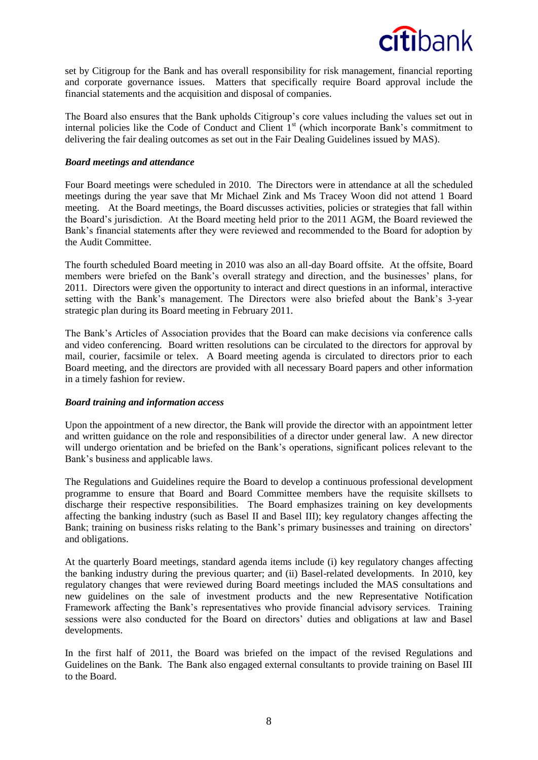

set by Citigroup for the Bank and has overall responsibility for risk management, financial reporting and corporate governance issues. Matters that specifically require Board approval include the financial statements and the acquisition and disposal of companies.

The Board also ensures that the Bank upholds Citigroup's core values including the values set out in internal policies like the Code of Conduct and Client  $1<sup>st</sup>$  (which incorporate Bank's commitment to delivering the fair dealing outcomes as set out in the Fair Dealing Guidelines issued by MAS).

#### *Board meetings and attendance*

Four Board meetings were scheduled in 2010. The Directors were in attendance at all the scheduled meetings during the year save that Mr Michael Zink and Ms Tracey Woon did not attend 1 Board meeting. At the Board meetings, the Board discusses activities, policies or strategies that fall within the Board's jurisdiction. At the Board meeting held prior to the 2011 AGM, the Board reviewed the Bank's financial statements after they were reviewed and recommended to the Board for adoption by the Audit Committee.

The fourth scheduled Board meeting in 2010 was also an all-day Board offsite. At the offsite, Board members were briefed on the Bank's overall strategy and direction, and the businesses' plans, for 2011. Directors were given the opportunity to interact and direct questions in an informal, interactive setting with the Bank's management. The Directors were also briefed about the Bank's 3-year strategic plan during its Board meeting in February 2011.

The Bank's Articles of Association provides that the Board can make decisions via conference calls and video conferencing. Board written resolutions can be circulated to the directors for approval by mail, courier, facsimile or telex. A Board meeting agenda is circulated to directors prior to each Board meeting, and the directors are provided with all necessary Board papers and other information in a timely fashion for review.

#### *Board training and information access*

Upon the appointment of a new director, the Bank will provide the director with an appointment letter and written guidance on the role and responsibilities of a director under general law. A new director will undergo orientation and be briefed on the Bank's operations, significant polices relevant to the Bank's business and applicable laws.

The Regulations and Guidelines require the Board to develop a continuous professional development programme to ensure that Board and Board Committee members have the requisite skillsets to discharge their respective responsibilities. The Board emphasizes training on key developments affecting the banking industry (such as Basel II and Basel III); key regulatory changes affecting the Bank; training on business risks relating to the Bank's primary businesses and training on directors' and obligations.

At the quarterly Board meetings, standard agenda items include (i) key regulatory changes affecting the banking industry during the previous quarter; and (ii) Basel-related developments. In 2010, key regulatory changes that were reviewed during Board meetings included the MAS consultations and new guidelines on the sale of investment products and the new Representative Notification Framework affecting the Bank's representatives who provide financial advisory services. Training sessions were also conducted for the Board on directors' duties and obligations at law and Basel developments.

In the first half of 2011, the Board was briefed on the impact of the revised Regulations and Guidelines on the Bank. The Bank also engaged external consultants to provide training on Basel III to the Board.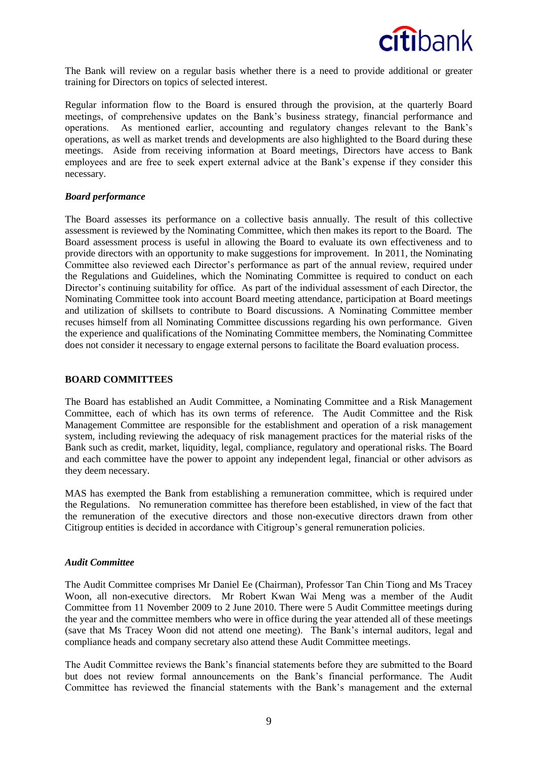

The Bank will review on a regular basis whether there is a need to provide additional or greater training for Directors on topics of selected interest.

Regular information flow to the Board is ensured through the provision, at the quarterly Board meetings, of comprehensive updates on the Bank's business strategy, financial performance and operations. As mentioned earlier, accounting and regulatory changes relevant to the Bank's operations, as well as market trends and developments are also highlighted to the Board during these meetings. Aside from receiving information at Board meetings, Directors have access to Bank employees and are free to seek expert external advice at the Bank's expense if they consider this necessary.

#### *Board performance*

The Board assesses its performance on a collective basis annually. The result of this collective assessment is reviewed by the Nominating Committee, which then makes its report to the Board. The Board assessment process is useful in allowing the Board to evaluate its own effectiveness and to provide directors with an opportunity to make suggestions for improvement. In 2011, the Nominating Committee also reviewed each Director's performance as part of the annual review, required under the Regulations and Guidelines, which the Nominating Committee is required to conduct on each Director's continuing suitability for office. As part of the individual assessment of each Director, the Nominating Committee took into account Board meeting attendance, participation at Board meetings and utilization of skillsets to contribute to Board discussions. A Nominating Committee member recuses himself from all Nominating Committee discussions regarding his own performance. Given the experience and qualifications of the Nominating Committee members, the Nominating Committee does not consider it necessary to engage external persons to facilitate the Board evaluation process.

#### **BOARD COMMITTEES**

The Board has established an Audit Committee, a Nominating Committee and a Risk Management Committee, each of which has its own terms of reference. The Audit Committee and the Risk Management Committee are responsible for the establishment and operation of a risk management system, including reviewing the adequacy of risk management practices for the material risks of the Bank such as credit, market, liquidity, legal, compliance, regulatory and operational risks. The Board and each committee have the power to appoint any independent legal, financial or other advisors as they deem necessary.

MAS has exempted the Bank from establishing a remuneration committee, which is required under the Regulations. No remuneration committee has therefore been established, in view of the fact that the remuneration of the executive directors and those non-executive directors drawn from other Citigroup entities is decided in accordance with Citigroup's general remuneration policies.

#### *Audit Committee*

The Audit Committee comprises Mr Daniel Ee (Chairman), Professor Tan Chin Tiong and Ms Tracey Woon, all non-executive directors. Mr Robert Kwan Wai Meng was a member of the Audit Committee from 11 November 2009 to 2 June 2010. There were 5 Audit Committee meetings during the year and the committee members who were in office during the year attended all of these meetings (save that Ms Tracey Woon did not attend one meeting). The Bank's internal auditors, legal and compliance heads and company secretary also attend these Audit Committee meetings.

The Audit Committee reviews the Bank's financial statements before they are submitted to the Board but does not review formal announcements on the Bank's financial performance. The Audit Committee has reviewed the financial statements with the Bank's management and the external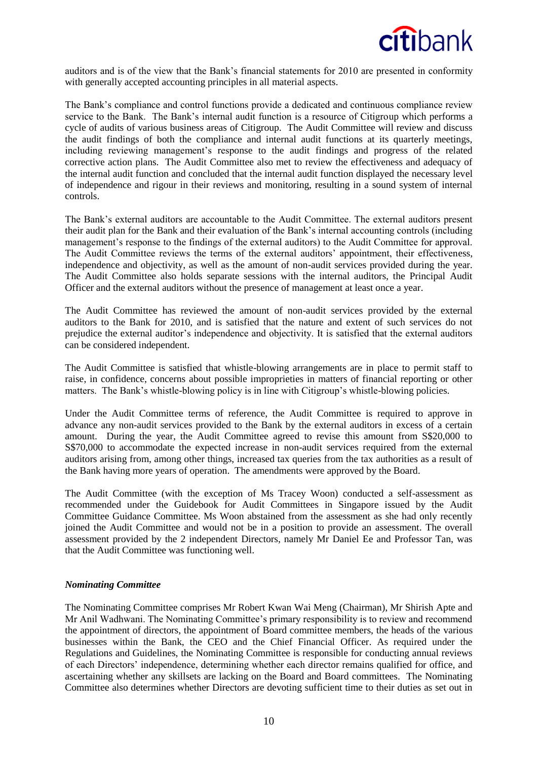

auditors and is of the view that the Bank's financial statements for 2010 are presented in conformity with generally accepted accounting principles in all material aspects.

The Bank's compliance and control functions provide a dedicated and continuous compliance review service to the Bank. The Bank's internal audit function is a resource of Citigroup which performs a cycle of audits of various business areas of Citigroup. The Audit Committee will review and discuss the audit findings of both the compliance and internal audit functions at its quarterly meetings, including reviewing management's response to the audit findings and progress of the related corrective action plans. The Audit Committee also met to review the effectiveness and adequacy of the internal audit function and concluded that the internal audit function displayed the necessary level of independence and rigour in their reviews and monitoring, resulting in a sound system of internal controls.

The Bank's external auditors are accountable to the Audit Committee. The external auditors present their audit plan for the Bank and their evaluation of the Bank's internal accounting controls (including management's response to the findings of the external auditors) to the Audit Committee for approval. The Audit Committee reviews the terms of the external auditors' appointment, their effectiveness, independence and objectivity, as well as the amount of non-audit services provided during the year. The Audit Committee also holds separate sessions with the internal auditors, the Principal Audit Officer and the external auditors without the presence of management at least once a year.

The Audit Committee has reviewed the amount of non-audit services provided by the external auditors to the Bank for 2010, and is satisfied that the nature and extent of such services do not prejudice the external auditor's independence and objectivity. It is satisfied that the external auditors can be considered independent.

The Audit Committee is satisfied that whistle-blowing arrangements are in place to permit staff to raise, in confidence, concerns about possible improprieties in matters of financial reporting or other matters. The Bank's whistle-blowing policy is in line with Citigroup's whistle-blowing policies.

Under the Audit Committee terms of reference, the Audit Committee is required to approve in advance any non-audit services provided to the Bank by the external auditors in excess of a certain amount. During the year, the Audit Committee agreed to revise this amount from S\$20,000 to S\$70,000 to accommodate the expected increase in non-audit services required from the external auditors arising from, among other things, increased tax queries from the tax authorities as a result of the Bank having more years of operation. The amendments were approved by the Board.

The Audit Committee (with the exception of Ms Tracey Woon) conducted a self-assessment as recommended under the Guidebook for Audit Committees in Singapore issued by the Audit Committee Guidance Committee. Ms Woon abstained from the assessment as she had only recently joined the Audit Committee and would not be in a position to provide an assessment. The overall assessment provided by the 2 independent Directors, namely Mr Daniel Ee and Professor Tan, was that the Audit Committee was functioning well.

#### *Nominating Committee*

The Nominating Committee comprises Mr Robert Kwan Wai Meng (Chairman), Mr Shirish Apte and Mr Anil Wadhwani. The Nominating Committee's primary responsibility is to review and recommend the appointment of directors, the appointment of Board committee members, the heads of the various businesses within the Bank, the CEO and the Chief Financial Officer. As required under the Regulations and Guidelines, the Nominating Committee is responsible for conducting annual reviews of each Directors' independence, determining whether each director remains qualified for office, and ascertaining whether any skillsets are lacking on the Board and Board committees. The Nominating Committee also determines whether Directors are devoting sufficient time to their duties as set out in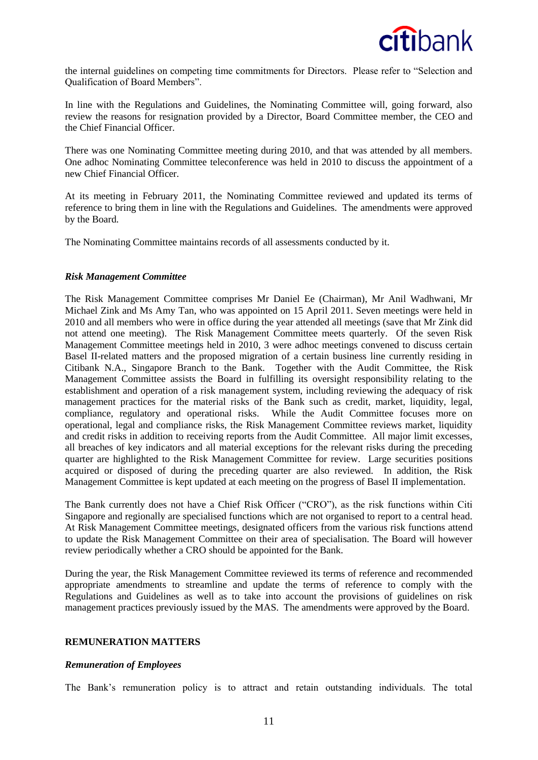

the internal guidelines on competing time commitments for Directors. Please refer to "Selection and Qualification of Board Members".

In line with the Regulations and Guidelines, the Nominating Committee will, going forward, also review the reasons for resignation provided by a Director, Board Committee member, the CEO and the Chief Financial Officer.

There was one Nominating Committee meeting during 2010, and that was attended by all members. One adhoc Nominating Committee teleconference was held in 2010 to discuss the appointment of a new Chief Financial Officer.

At its meeting in February 2011, the Nominating Committee reviewed and updated its terms of reference to bring them in line with the Regulations and Guidelines. The amendments were approved by the Board.

The Nominating Committee maintains records of all assessments conducted by it.

#### *Risk Management Committee*

The Risk Management Committee comprises Mr Daniel Ee (Chairman), Mr Anil Wadhwani, Mr Michael Zink and Ms Amy Tan, who was appointed on 15 April 2011. Seven meetings were held in 2010 and all members who were in office during the year attended all meetings (save that Mr Zink did not attend one meeting). The Risk Management Committee meets quarterly. Of the seven Risk Management Committee meetings held in 2010, 3 were adhoc meetings convened to discuss certain Basel II-related matters and the proposed migration of a certain business line currently residing in Citibank N.A., Singapore Branch to the Bank. Together with the Audit Committee, the Risk Management Committee assists the Board in fulfilling its oversight responsibility relating to the establishment and operation of a risk management system, including reviewing the adequacy of risk management practices for the material risks of the Bank such as credit, market, liquidity, legal, compliance, regulatory and operational risks. While the Audit Committee focuses more on operational, legal and compliance risks, the Risk Management Committee reviews market, liquidity and credit risks in addition to receiving reports from the Audit Committee. All major limit excesses, all breaches of key indicators and all material exceptions for the relevant risks during the preceding quarter are highlighted to the Risk Management Committee for review. Large securities positions acquired or disposed of during the preceding quarter are also reviewed. In addition, the Risk Management Committee is kept updated at each meeting on the progress of Basel II implementation.

The Bank currently does not have a Chief Risk Officer ("CRO"), as the risk functions within Citi Singapore and regionally are specialised functions which are not organised to report to a central head. At Risk Management Committee meetings, designated officers from the various risk functions attend to update the Risk Management Committee on their area of specialisation. The Board will however review periodically whether a CRO should be appointed for the Bank.

During the year, the Risk Management Committee reviewed its terms of reference and recommended appropriate amendments to streamline and update the terms of reference to comply with the Regulations and Guidelines as well as to take into account the provisions of guidelines on risk management practices previously issued by the MAS. The amendments were approved by the Board.

#### **REMUNERATION MATTERS**

#### *Remuneration of Employees*

The Bank's remuneration policy is to attract and retain outstanding individuals. The total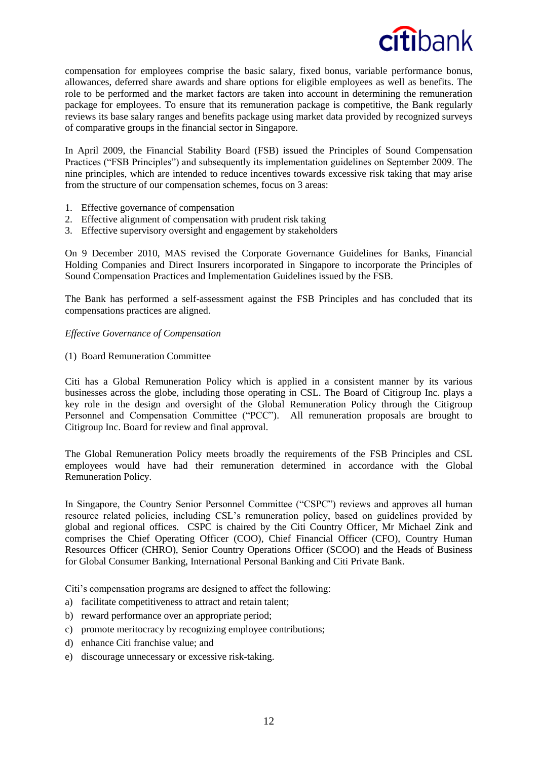compensation for employees comprise the basic salary, fixed bonus, variable performance bonus, allowances, deferred share awards and share options for eligible employees as well as benefits. The role to be performed and the market factors are taken into account in determining the remuneration package for employees. To ensure that its remuneration package is competitive, the Bank regularly reviews its base salary ranges and benefits package using market data provided by recognized surveys of comparative groups in the financial sector in Singapore.

In April 2009, the Financial Stability Board (FSB) issued the Principles of Sound Compensation Practices ("FSB Principles") and subsequently its implementation guidelines on September 2009. The nine principles, which are intended to reduce incentives towards excessive risk taking that may arise from the structure of our compensation schemes, focus on 3 areas:

- 1. Effective governance of compensation
- 2. Effective alignment of compensation with prudent risk taking
- 3. Effective supervisory oversight and engagement by stakeholders

On 9 December 2010, MAS revised the Corporate Governance Guidelines for Banks, Financial Holding Companies and Direct Insurers incorporated in Singapore to incorporate the Principles of Sound Compensation Practices and Implementation Guidelines issued by the FSB.

The Bank has performed a self-assessment against the FSB Principles and has concluded that its compensations practices are aligned.

# *Effective Governance of Compensation*

(1) Board Remuneration Committee

Citi has a Global Remuneration Policy which is applied in a consistent manner by its various businesses across the globe, including those operating in CSL. The Board of Citigroup Inc. plays a key role in the design and oversight of the Global Remuneration Policy through the Citigroup Personnel and Compensation Committee ("PCC"). All remuneration proposals are brought to Citigroup Inc. Board for review and final approval.

The Global Remuneration Policy meets broadly the requirements of the FSB Principles and CSL employees would have had their remuneration determined in accordance with the Global Remuneration Policy.

In Singapore, the Country Senior Personnel Committee ("CSPC") reviews and approves all human resource related policies, including CSL's remuneration policy, based on guidelines provided by global and regional offices. CSPC is chaired by the Citi Country Officer, Mr Michael Zink and comprises the Chief Operating Officer (COO), Chief Financial Officer (CFO), Country Human Resources Officer (CHRO), Senior Country Operations Officer (SCOO) and the Heads of Business for Global Consumer Banking, International Personal Banking and Citi Private Bank.

Citi's compensation programs are designed to affect the following:

- a) facilitate competitiveness to attract and retain talent;
- b) reward performance over an appropriate period;
- c) promote meritocracy by recognizing employee contributions;
- d) enhance Citi franchise value; and
- e) discourage unnecessary or excessive risk-taking.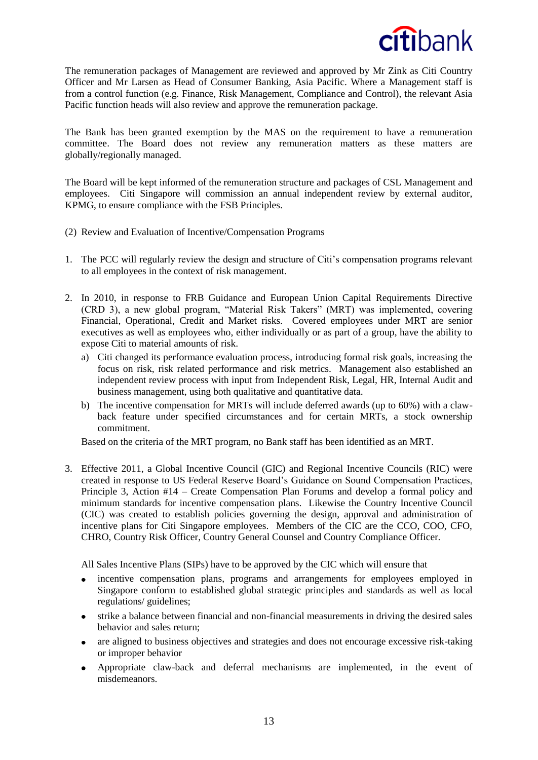

The remuneration packages of Management are reviewed and approved by Mr Zink as Citi Country Officer and Mr Larsen as Head of Consumer Banking, Asia Pacific. Where a Management staff is from a control function (e.g. Finance, Risk Management, Compliance and Control), the relevant Asia Pacific function heads will also review and approve the remuneration package.

The Bank has been granted exemption by the MAS on the requirement to have a remuneration committee. The Board does not review any remuneration matters as these matters are globally/regionally managed.

The Board will be kept informed of the remuneration structure and packages of CSL Management and employees. Citi Singapore will commission an annual independent review by external auditor, KPMG, to ensure compliance with the FSB Principles.

- (2) Review and Evaluation of Incentive/Compensation Programs
- 1. The PCC will regularly review the design and structure of Citi's compensation programs relevant to all employees in the context of risk management.
- 2. In 2010, in response to FRB Guidance and European Union Capital Requirements Directive (CRD 3), a new global program, "Material Risk Takers" (MRT) was implemented, covering Financial, Operational, Credit and Market risks. Covered employees under MRT are senior executives as well as employees who, either individually or as part of a group, have the ability to expose Citi to material amounts of risk.
	- a) Citi changed its performance evaluation process, introducing formal risk goals, increasing the focus on risk, risk related performance and risk metrics. Management also established an independent review process with input from Independent Risk, Legal, HR, Internal Audit and business management, using both qualitative and quantitative data.
	- b) The incentive compensation for MRTs will include deferred awards (up to 60%) with a clawback feature under specified circumstances and for certain MRTs, a stock ownership commitment.

Based on the criteria of the MRT program, no Bank staff has been identified as an MRT.

3. Effective 2011, a Global Incentive Council (GIC) and Regional Incentive Councils (RIC) were created in response to US Federal Reserve Board's Guidance on Sound Compensation Practices, Principle 3, Action #14 – Create Compensation Plan Forums and develop a formal policy and minimum standards for incentive compensation plans. Likewise the Country Incentive Council (CIC) was created to establish policies governing the design, approval and administration of incentive plans for Citi Singapore employees. Members of the CIC are the CCO, COO, CFO, CHRO, Country Risk Officer, Country General Counsel and Country Compliance Officer.

All Sales Incentive Plans (SIPs) have to be approved by the CIC which will ensure that

- incentive compensation plans, programs and arrangements for employees employed in Singapore conform to established global strategic principles and standards as well as local regulations/ guidelines;
- $\bullet$ strike a balance between financial and non-financial measurements in driving the desired sales behavior and sales return;
- are aligned to business objectives and strategies and does not encourage excessive risk-taking  $\bullet$ or improper behavior
- Appropriate claw-back and deferral mechanisms are implemented, in the event of  $\bullet$ misdemeanors.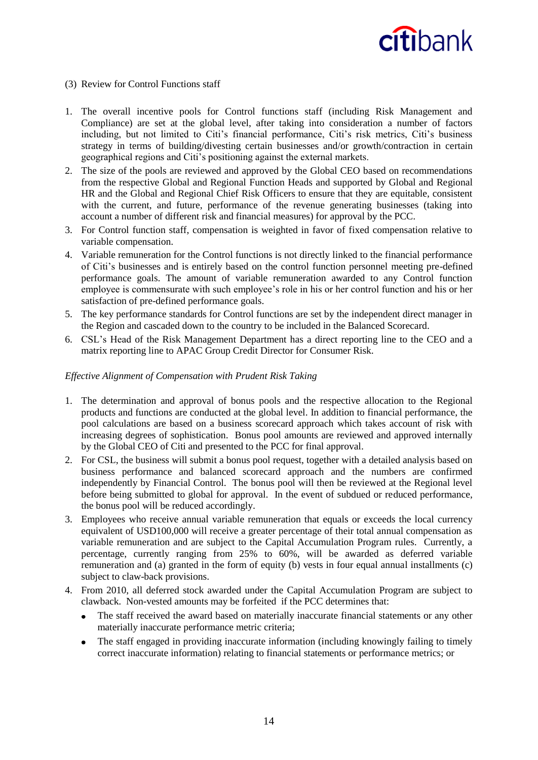### (3) Review for Control Functions staff

- 1. The overall incentive pools for Control functions staff (including Risk Management and Compliance) are set at the global level, after taking into consideration a number of factors including, but not limited to Citi's financial performance, Citi's risk metrics, Citi's business strategy in terms of building/divesting certain businesses and/or growth/contraction in certain geographical regions and Citi's positioning against the external markets.
- 2. The size of the pools are reviewed and approved by the Global CEO based on recommendations from the respective Global and Regional Function Heads and supported by Global and Regional HR and the Global and Regional Chief Risk Officers to ensure that they are equitable, consistent with the current, and future, performance of the revenue generating businesses (taking into account a number of different risk and financial measures) for approval by the PCC.
- 3. For Control function staff, compensation is weighted in favor of fixed compensation relative to variable compensation.
- 4. Variable remuneration for the Control functions is not directly linked to the financial performance of Citi's businesses and is entirely based on the control function personnel meeting pre-defined performance goals. The amount of variable remuneration awarded to any Control function employee is commensurate with such employee's role in his or her control function and his or her satisfaction of pre-defined performance goals.
- 5. The key performance standards for Control functions are set by the independent direct manager in the Region and cascaded down to the country to be included in the Balanced Scorecard.
- 6. CSL's Head of the Risk Management Department has a direct reporting line to the CEO and a matrix reporting line to APAC Group Credit Director for Consumer Risk.

### *Effective Alignment of Compensation with Prudent Risk Taking*

- 1. The determination and approval of bonus pools and the respective allocation to the Regional products and functions are conducted at the global level. In addition to financial performance, the pool calculations are based on a business scorecard approach which takes account of risk with increasing degrees of sophistication. Bonus pool amounts are reviewed and approved internally by the Global CEO of Citi and presented to the PCC for final approval.
- 2. For CSL, the business will submit a bonus pool request, together with a detailed analysis based on business performance and balanced scorecard approach and the numbers are confirmed independently by Financial Control. The bonus pool will then be reviewed at the Regional level before being submitted to global for approval. In the event of subdued or reduced performance, the bonus pool will be reduced accordingly.
- 3. Employees who receive annual variable remuneration that equals or exceeds the local currency equivalent of USD100,000 will receive a greater percentage of their total annual compensation as variable remuneration and are subject to the Capital Accumulation Program rules. Currently, a percentage, currently ranging from 25% to 60%, will be awarded as deferred variable remuneration and (a) granted in the form of equity (b) vests in four equal annual installments (c) subject to claw-back provisions.
- 4. From 2010, all deferred stock awarded under the Capital Accumulation Program are subject to clawback. Non-vested amounts may be forfeited if the PCC determines that:
	- $\bullet$ The staff received the award based on materially inaccurate financial statements or any other materially inaccurate performance metric criteria;
	- The staff engaged in providing inaccurate information (including knowingly failing to timely  $\bullet$ correct inaccurate information) relating to financial statements or performance metrics; or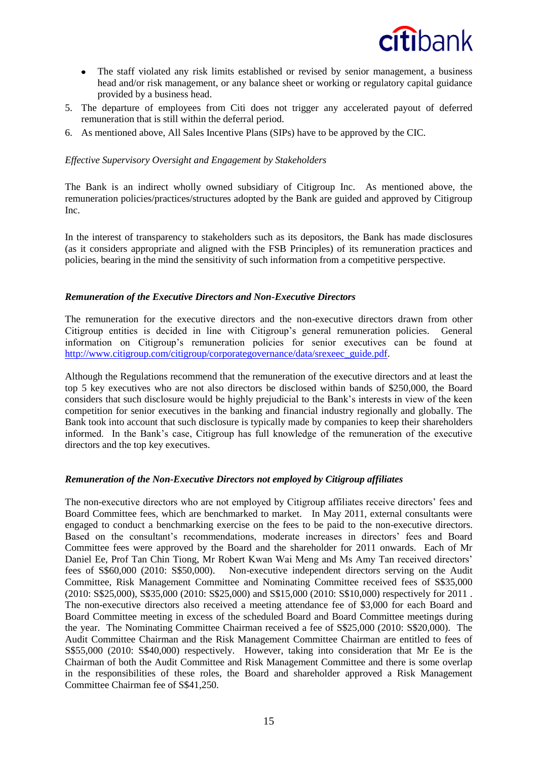

- The staff violated any risk limits established or revised by senior management, a business head and/or risk management, or any balance sheet or working or regulatory capital guidance provided by a business head.
- 5. The departure of employees from Citi does not trigger any accelerated payout of deferred remuneration that is still within the deferral period.
- 6. As mentioned above, All Sales Incentive Plans (SIPs) have to be approved by the CIC.

### *Effective Supervisory Oversight and Engagement by Stakeholders*

The Bank is an indirect wholly owned subsidiary of Citigroup Inc. As mentioned above, the remuneration policies/practices/structures adopted by the Bank are guided and approved by Citigroup Inc.

In the interest of transparency to stakeholders such as its depositors, the Bank has made disclosures (as it considers appropriate and aligned with the FSB Principles) of its remuneration practices and policies, bearing in the mind the sensitivity of such information from a competitive perspective.

#### *Remuneration of the Executive Directors and Non-Executive Directors*

The remuneration for the executive directors and the non-executive directors drawn from other Citigroup entities is decided in line with Citigroup's general remuneration policies. General information on Citigroup's remuneration policies for senior executives can be found at [http://www.citigroup.com/citigroup/corporategovernance/data/srexeec\\_guide.pdf.](http://www.citigroup.com/citigroup/corporategovernance/data/srexeec_guide.pdf)

Although the Regulations recommend that the remuneration of the executive directors and at least the top 5 key executives who are not also directors be disclosed within bands of \$250,000, the Board considers that such disclosure would be highly prejudicial to the Bank's interests in view of the keen competition for senior executives in the banking and financial industry regionally and globally. The Bank took into account that such disclosure is typically made by companies to keep their shareholders informed. In the Bank's case, Citigroup has full knowledge of the remuneration of the executive directors and the top key executives.

#### *Remuneration of the Non-Executive Directors not employed by Citigroup affiliates*

The non-executive directors who are not employed by Citigroup affiliates receive directors' fees and Board Committee fees, which are benchmarked to market. In May 2011, external consultants were engaged to conduct a benchmarking exercise on the fees to be paid to the non-executive directors. Based on the consultant's recommendations, moderate increases in directors' fees and Board Committee fees were approved by the Board and the shareholder for 2011 onwards. Each of Mr Daniel Ee, Prof Tan Chin Tiong, Mr Robert Kwan Wai Meng and Ms Amy Tan received directors' fees of S\$60,000 (2010: S\$50,000). Non-executive independent directors serving on the Audit Committee, Risk Management Committee and Nominating Committee received fees of S\$35,000 (2010: S\$25,000), S\$35,000 (2010: S\$25,000) and S\$15,000 (2010: S\$10,000) respectively for 2011 . The non-executive directors also received a meeting attendance fee of \$3,000 for each Board and Board Committee meeting in excess of the scheduled Board and Board Committee meetings during the year. The Nominating Committee Chairman received a fee of S\$25,000 (2010: S\$20,000). The Audit Committee Chairman and the Risk Management Committee Chairman are entitled to fees of S\$55,000 (2010: S\$40,000) respectively. However, taking into consideration that Mr Ee is the Chairman of both the Audit Committee and Risk Management Committee and there is some overlap in the responsibilities of these roles, the Board and shareholder approved a Risk Management Committee Chairman fee of S\$41,250.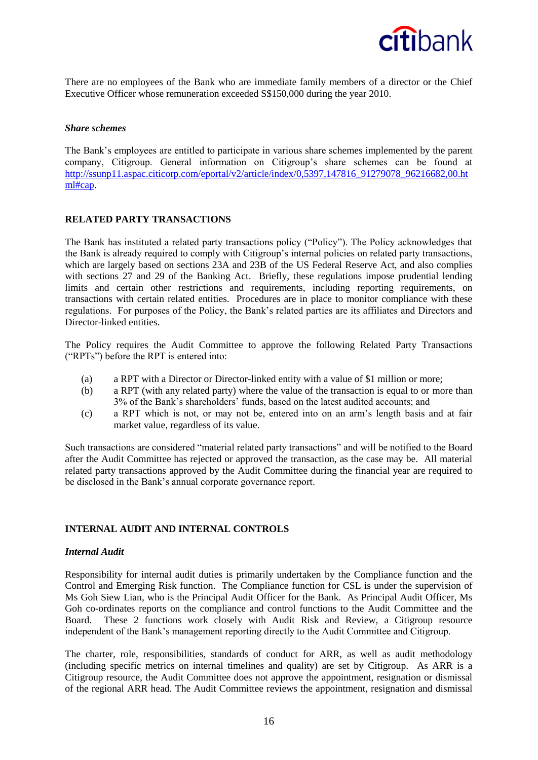

There are no employees of the Bank who are immediate family members of a director or the Chief Executive Officer whose remuneration exceeded S\$150,000 during the year 2010.

#### *Share schemes*

The Bank's employees are entitled to participate in various share schemes implemented by the parent company, Citigroup. General information on Citigroup's share schemes can be found at http://ssunp11.aspac.citicorp.com/eportal/v2/article/index/0,5397,147816\_91279078\_96216682,00.ht ml#cap.

#### **RELATED PARTY TRANSACTIONS**

The Bank has instituted a related party transactions policy ("Policy"). The Policy acknowledges that the Bank is already required to comply with Citigroup's internal policies on related party transactions, which are largely based on sections 23A and 23B of the US Federal Reserve Act, and also complies with sections 27 and 29 of the Banking Act. Briefly, these regulations impose prudential lending limits and certain other restrictions and requirements, including reporting requirements, on transactions with certain related entities. Procedures are in place to monitor compliance with these regulations. For purposes of the Policy, the Bank's related parties are its affiliates and Directors and Director-linked entities.

The Policy requires the Audit Committee to approve the following Related Party Transactions ("RPTs") before the RPT is entered into:

- (a) a RPT with a Director or Director-linked entity with a value of \$1 million or more;
- (b) a RPT (with any related party) where the value of the transaction is equal to or more than 3% of the Bank's shareholders' funds, based on the latest audited accounts; and
- (c) a RPT which is not, or may not be, entered into on an arm's length basis and at fair market value, regardless of its value.

Such transactions are considered "material related party transactions" and will be notified to the Board after the Audit Committee has rejected or approved the transaction, as the case may be. All material related party transactions approved by the Audit Committee during the financial year are required to be disclosed in the Bank's annual corporate governance report.

#### **INTERNAL AUDIT AND INTERNAL CONTROLS**

#### *Internal Audit*

Responsibility for internal audit duties is primarily undertaken by the Compliance function and the Control and Emerging Risk function. The Compliance function for CSL is under the supervision of Ms Goh Siew Lian, who is the Principal Audit Officer for the Bank. As Principal Audit Officer, Ms Goh co-ordinates reports on the compliance and control functions to the Audit Committee and the Board. These 2 functions work closely with Audit Risk and Review, a Citigroup resource independent of the Bank's management reporting directly to the Audit Committee and Citigroup.

The charter, role, responsibilities, standards of conduct for ARR, as well as audit methodology (including specific metrics on internal timelines and quality) are set by Citigroup. As ARR is a Citigroup resource, the Audit Committee does not approve the appointment, resignation or dismissal of the regional ARR head. The Audit Committee reviews the appointment, resignation and dismissal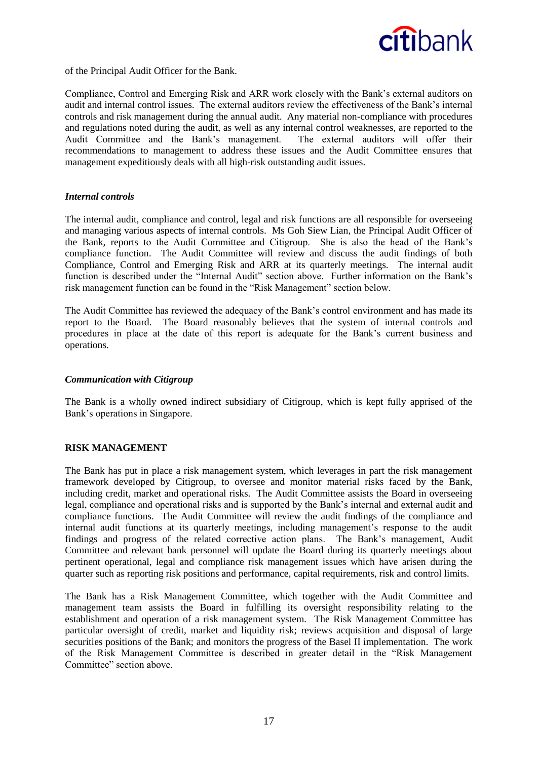

of the Principal Audit Officer for the Bank.

Compliance, Control and Emerging Risk and ARR work closely with the Bank's external auditors on audit and internal control issues. The external auditors review the effectiveness of the Bank's internal controls and risk management during the annual audit. Any material non-compliance with procedures and regulations noted during the audit, as well as any internal control weaknesses, are reported to the Audit Committee and the Bank's management. The external auditors will offer their recommendations to management to address these issues and the Audit Committee ensures that management expeditiously deals with all high-risk outstanding audit issues.

#### *Internal controls*

The internal audit, compliance and control, legal and risk functions are all responsible for overseeing and managing various aspects of internal controls. Ms Goh Siew Lian, the Principal Audit Officer of the Bank, reports to the Audit Committee and Citigroup. She is also the head of the Bank's compliance function. The Audit Committee will review and discuss the audit findings of both Compliance, Control and Emerging Risk and ARR at its quarterly meetings. The internal audit function is described under the "Internal Audit" section above. Further information on the Bank's risk management function can be found in the "Risk Management" section below.

The Audit Committee has reviewed the adequacy of the Bank's control environment and has made its report to the Board. The Board reasonably believes that the system of internal controls and procedures in place at the date of this report is adequate for the Bank's current business and operations.

#### *Communication with Citigroup*

The Bank is a wholly owned indirect subsidiary of Citigroup, which is kept fully apprised of the Bank's operations in Singapore.

#### **RISK MANAGEMENT**

The Bank has put in place a risk management system, which leverages in part the risk management framework developed by Citigroup, to oversee and monitor material risks faced by the Bank, including credit, market and operational risks. The Audit Committee assists the Board in overseeing legal, compliance and operational risks and is supported by the Bank's internal and external audit and compliance functions. The Audit Committee will review the audit findings of the compliance and internal audit functions at its quarterly meetings, including management's response to the audit findings and progress of the related corrective action plans. The Bank's management, Audit Committee and relevant bank personnel will update the Board during its quarterly meetings about pertinent operational, legal and compliance risk management issues which have arisen during the quarter such as reporting risk positions and performance, capital requirements, risk and control limits.

The Bank has a Risk Management Committee, which together with the Audit Committee and management team assists the Board in fulfilling its oversight responsibility relating to the establishment and operation of a risk management system. The Risk Management Committee has particular oversight of credit, market and liquidity risk; reviews acquisition and disposal of large securities positions of the Bank; and monitors the progress of the Basel II implementation. The work of the Risk Management Committee is described in greater detail in the "Risk Management Committee" section above.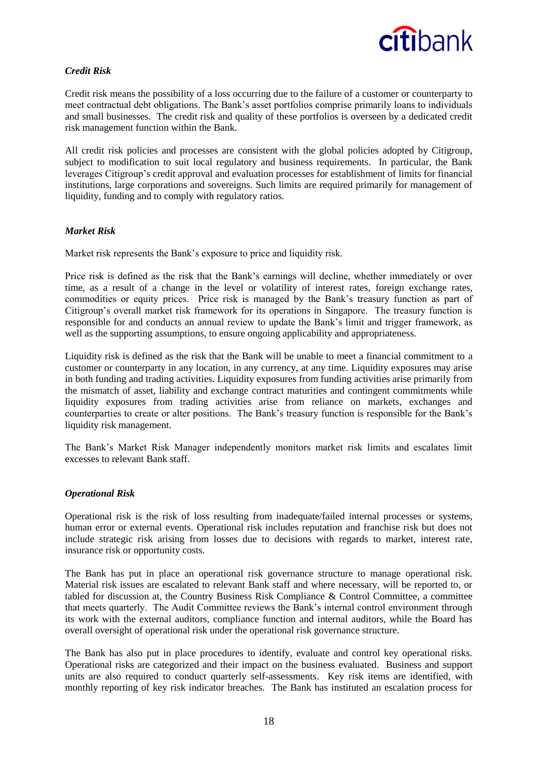

# *Credit Risk*

Credit risk means the possibility of a loss occurring due to the failure of a customer or counterparty to meet contractual debt obligations. The Bank's asset portfolios comprise primarily loans to individuals and small businesses. The credit risk and quality of these portfolios is overseen by a dedicated credit risk management function within the Bank.

All credit risk policies and processes are consistent with the global policies adopted by Citigroup, subject to modification to suit local regulatory and business requirements. In particular, the Bank leverages Citigroup's credit approval and evaluation processes for establishment of limits for financial institutions, large corporations and sovereigns. Such limits are required primarily for management of liquidity, funding and to comply with regulatory ratios.

# *Market Risk*

Market risk represents the Bank's exposure to price and liquidity risk.

Price risk is defined as the risk that the Bank's earnings will decline, whether immediately or over time, as a result of a change in the level or volatility of interest rates, foreign exchange rates, commodities or equity prices. Price risk is managed by the Bank's treasury function as part of Citigroup's overall market risk framework for its operations in Singapore. The treasury function is responsible for and conducts an annual review to update the Bank's limit and trigger framework, as well as the supporting assumptions, to ensure ongoing applicability and appropriateness.

Liquidity risk is defined as the risk that the Bank will be unable to meet a financial commitment to a customer or counterparty in any location, in any currency, at any time. Liquidity exposures may arise in both funding and trading activities. Liquidity exposures from funding activities arise primarily from the mismatch of asset, liability and exchange contract maturities and contingent commitments while liquidity exposures from trading activities arise from reliance on markets, exchanges and counterparties to create or alter positions. The Bank's treasury function is responsible for the Bank's liquidity risk management.

The Bank's Market Risk Manager independently monitors market risk limits and escalates limit excesses to relevant Bank staff.

#### *Operational Risk*

Operational risk is the risk of loss resulting from inadequate/failed internal processes or systems, human error or external events. Operational risk includes reputation and franchise risk but does not include strategic risk arising from losses due to decisions with regards to market, interest rate, insurance risk or opportunity costs.

The Bank has put in place an operational risk governance structure to manage operational risk. Material risk issues are escalated to relevant Bank staff and where necessary, will be reported to, or tabled for discussion at, the Country Business Risk Compliance & Control Committee, a committee that meets quarterly. The Audit Committee reviews the Bank's internal control environment through its work with the external auditors, compliance function and internal auditors, while the Board has overall oversight of operational risk under the operational risk governance structure.

The Bank has also put in place procedures to identify, evaluate and control key operational risks. Operational risks are categorized and their impact on the business evaluated. Business and support units are also required to conduct quarterly self-assessments. Key risk items are identified, with monthly reporting of key risk indicator breaches. The Bank has instituted an escalation process for